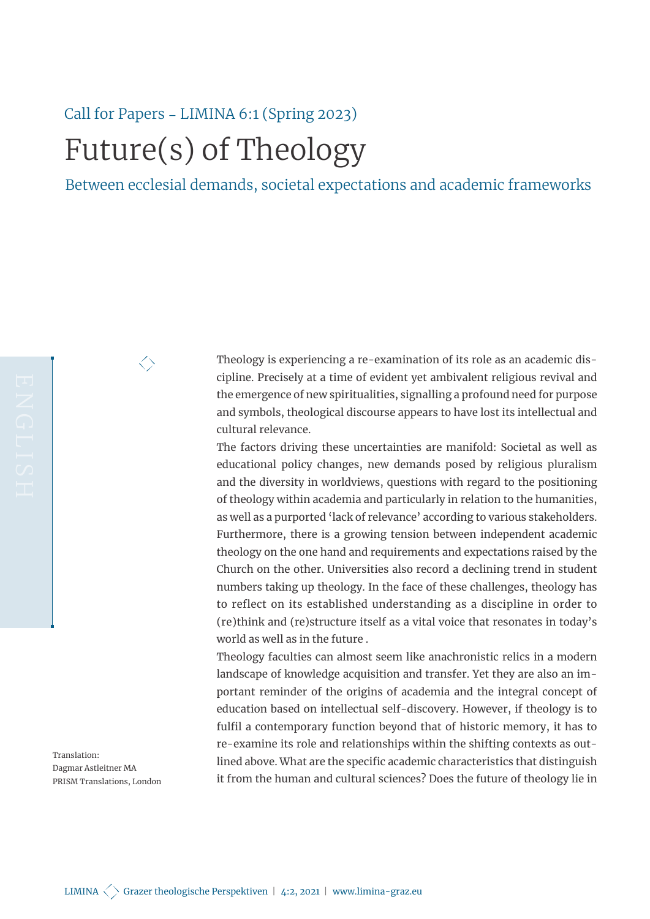## Call for Papers – LIMINA 6:1 (Spring 2023) Future(s) of Theology

 $\big<\big>$ 

Between ecclesial demands, societal expectations and academic frameworks

Theology is experiencing a re-examination of its role as an academic discipline. Precisely at a time of evident yet ambivalent religious revival and the emergence of new spiritualities, signalling a profound need for purpose and symbols, theological discourse appears to have lost its intellectual and cultural relevance.

The factors driving these uncertainties are manifold: Societal as well as educational policy changes, new demands posed by religious pluralism and the diversity in worldviews, questions with regard to the positioning of theology within academia and particularly in relation to the humanities, as well as a purported 'lack of relevance' according to various stakeholders. Furthermore, there is a growing tension between independent academic theology on the one hand and requirements and expectations raised by the Church on the other. Universities also record a declining trend in student numbers taking up theology. In the face of these challenges, theology has to reflect on its established understanding as a discipline in order to (re)think and (re)structure itself as a vital voice that resonates in today's world as well as in the future .

Theology faculties can almost seem like anachronistic relics in a modern landscape of knowledge acquisition and transfer. Yet they are also an important reminder of the origins of academia and the integral concept of education based on intellectual self-discovery. However, if theology is to fulfil a contemporary function beyond that of historic memory, it has to re-examine its role and relationships within the shifting contexts as outlined above. What are the specific academic characteristics that distinguish it from the human and cultural sciences? Does the future of theology lie in

Translation: Dagmar Astleitner MA PRISM Translations, London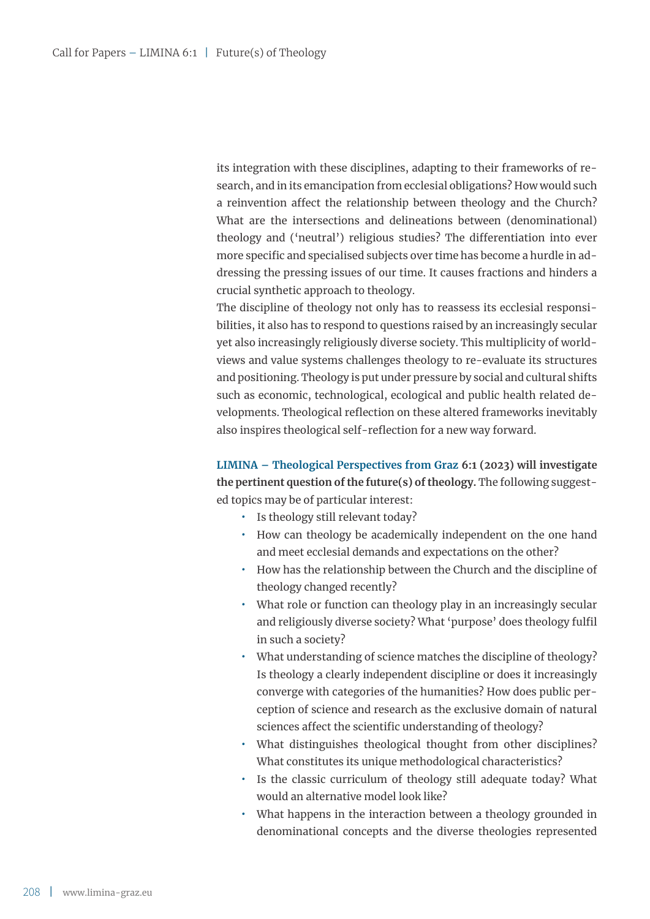its integration with these disciplines, adapting to their frameworks of research, and in its emancipation from ecclesial obligations? How would such a reinvention affect the relationship between theology and the Church? What are the intersections and delineations between (denominational) theology and ('neutral') religious studies? The differentiation into ever more specific and specialised subjects over time has become a hurdle in addressing the pressing issues of our time. It causes fractions and hinders a crucial synthetic approach to theology.

The discipline of theology not only has to reassess its ecclesial responsibilities, it also has to respond to questions raised by an increasingly secular yet also increasingly religiously diverse society. This multiplicity of worldviews and value systems challenges theology to re-evaluate its structures and positioning. Theology is put under pressure by social and cultural shifts such as economic, technological, ecological and public health related developments. Theological reflection on these altered frameworks inevitably also inspires theological self-reflection for a new way forward.

**LIMINA – Theological Perspectives from Graz 6:1 (2023) will investigate the pertinent question of the future(s) of theology.** The following suggested topics may be of particular interest:

- **̟** Is theology still relevant today?
- **̟** How can theology be academically independent on the one hand and meet ecclesial demands and expectations on the other?
- **̟** How has the relationship between the Church and the discipline of theology changed recently?
- What role or function can theology play in an increasingly secular and religiously diverse society? What 'purpose' does theology fulfil in such a society?
- What understanding of science matches the discipline of theology? Is theology a clearly independent discipline or does it increasingly converge with categories of the humanities? How does public perception of science and research as the exclusive domain of natural sciences affect the scientific understanding of theology?
- What distinguishes theological thought from other disciplines? What constitutes its unique methodological characteristics?
- **̟** Is the classic curriculum of theology still adequate today? What would an alternative model look like?
- What happens in the interaction between a theology grounded in denominational concepts and the diverse theologies represented